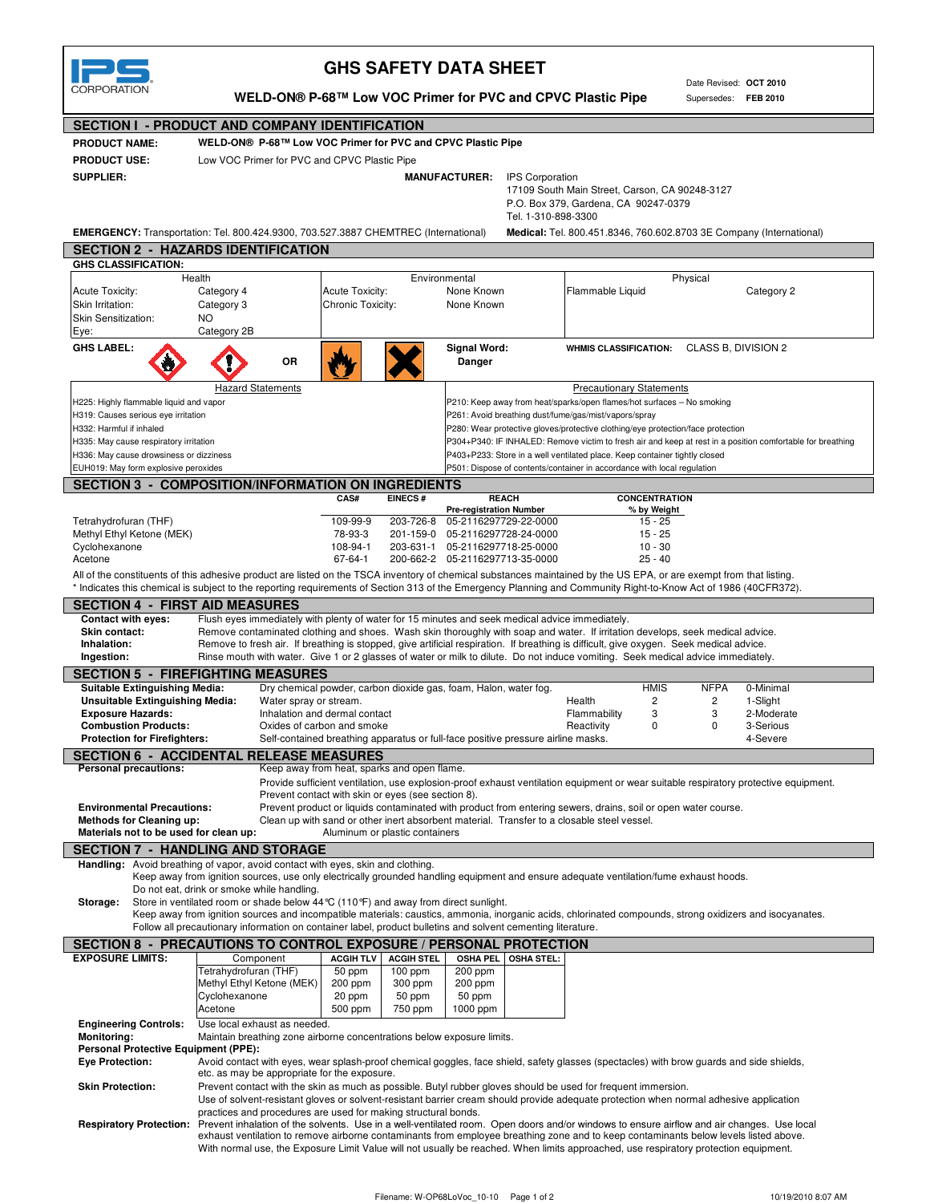

## **GHS SAFETY DATA SHEET**

Date Revised: **OCT 2010** Supersedes: **FEB 2010**

**WELD-ON® P-68™ Low VOC Primer for PVC and CPVC Plastic Pipe**

## **SECTION I - PRODUCT AND COMPANY IDENTIFICATION**

**SECTION 2 - HAZARDS IDENTIFICATION**

**PRODUCT NAME: PRODUCT USE: SUPPLIER:**

**WELD-ON® P-68™ Low VOC Primer for PVC and CPVC Plastic Pipe** Low VOC Primer for PVC and CPVC Plastic Pipe

 **MANUFACTURER:** IPS Corporation

17109 South Main Street, Carson, CA 90248-3127 P.O. Box 379, Gardena, CA 90247-0379 Tel. 1-310-898-3300

**EMERGENCY:** Transportation: Tel. 800.424.9300, 703.527.3887 CHEMTREC (International) **Medical:** Tel. 800.451.8346, 760.602.8703 3E Company (International)

| <b>GHS CLASSIFICATION:</b>                                                                                                                                          |                                                                                                                                                                                          |                                                                                            |                                |                                 |                   |                                                                                                               |                  |                                                                                                                                      |  |  |  |
|---------------------------------------------------------------------------------------------------------------------------------------------------------------------|------------------------------------------------------------------------------------------------------------------------------------------------------------------------------------------|--------------------------------------------------------------------------------------------|--------------------------------|---------------------------------|-------------------|---------------------------------------------------------------------------------------------------------------|------------------|--------------------------------------------------------------------------------------------------------------------------------------|--|--|--|
|                                                                                                                                                                     | Health                                                                                                                                                                                   |                                                                                            |                                | Environmental                   |                   |                                                                                                               | Physical         |                                                                                                                                      |  |  |  |
| <b>Acute Toxicity:</b>                                                                                                                                              | Category 4                                                                                                                                                                               | Acute Toxicity:                                                                            |                                | None Known                      |                   | Flammable Liquid                                                                                              |                  | Category 2                                                                                                                           |  |  |  |
| Skin Irritation:                                                                                                                                                    | Category 3                                                                                                                                                                               | Chronic Toxicity:                                                                          |                                | None Known                      |                   |                                                                                                               |                  |                                                                                                                                      |  |  |  |
| <b>Skin Sensitization:</b>                                                                                                                                          | NO.                                                                                                                                                                                      |                                                                                            |                                |                                 |                   |                                                                                                               |                  |                                                                                                                                      |  |  |  |
| Eye:                                                                                                                                                                | Category 2B                                                                                                                                                                              |                                                                                            |                                |                                 |                   |                                                                                                               |                  |                                                                                                                                      |  |  |  |
| <b>GHS LABEL:</b>                                                                                                                                                   | ΟR                                                                                                                                                                                       |                                                                                            |                                | Signal Word:<br>Danger          |                   | <b>WHMIS CLASSIFICATION:</b>                                                                                  |                  | CLASS B, DIVISION 2                                                                                                                  |  |  |  |
|                                                                                                                                                                     | <b>Hazard Statements</b>                                                                                                                                                                 |                                                                                            |                                |                                 |                   | <b>Precautionary Statements</b>                                                                               |                  |                                                                                                                                      |  |  |  |
| H225: Highly flammable liquid and vapor                                                                                                                             |                                                                                                                                                                                          |                                                                                            |                                |                                 |                   | P210: Keep away from heat/sparks/open flames/hot surfaces - No smoking                                        |                  |                                                                                                                                      |  |  |  |
|                                                                                                                                                                     | H319: Causes serious eye irritation                                                                                                                                                      |                                                                                            |                                |                                 |                   | P261: Avoid breathing dust/fume/gas/mist/vapors/spray                                                         |                  |                                                                                                                                      |  |  |  |
| H332: Harmful if inhaled                                                                                                                                            |                                                                                                                                                                                          |                                                                                            |                                |                                 |                   | P280: Wear protective gloves/protective clothing/eye protection/face protection                               |                  |                                                                                                                                      |  |  |  |
| H335: May cause respiratory irritation                                                                                                                              |                                                                                                                                                                                          |                                                                                            |                                |                                 |                   |                                                                                                               |                  | P304+P340: IF INHALED: Remove victim to fresh air and keep at rest in a position comfortable for breathing                           |  |  |  |
|                                                                                                                                                                     | H336: May cause drowsiness or dizziness                                                                                                                                                  |                                                                                            |                                |                                 |                   | P403+P233: Store in a well ventilated place. Keep container tightly closed                                    |                  |                                                                                                                                      |  |  |  |
| EUH019: May form explosive peroxides                                                                                                                                |                                                                                                                                                                                          |                                                                                            |                                |                                 |                   | P501: Dispose of contents/container in accordance with local regulation                                       |                  |                                                                                                                                      |  |  |  |
| <b>SECTION 3 - COMPOSITION/INFORMATION ON INGREDIENTS</b>                                                                                                           |                                                                                                                                                                                          |                                                                                            |                                |                                 |                   |                                                                                                               |                  |                                                                                                                                      |  |  |  |
|                                                                                                                                                                     |                                                                                                                                                                                          | CAS#                                                                                       | <b>EINECS#</b>                 | <b>REACH</b>                    |                   | <b>CONCENTRATION</b>                                                                                          |                  |                                                                                                                                      |  |  |  |
|                                                                                                                                                                     |                                                                                                                                                                                          |                                                                                            |                                | <b>Pre-registration Number</b>  |                   | % by Weight                                                                                                   |                  |                                                                                                                                      |  |  |  |
| Tetrahydrofuran (THF)                                                                                                                                               |                                                                                                                                                                                          | 109-99-9                                                                                   | 203-726-8                      | 05-2116297729-22-0000           |                   | $15 - 25$                                                                                                     |                  |                                                                                                                                      |  |  |  |
| Methyl Ethyl Ketone (MEK)                                                                                                                                           |                                                                                                                                                                                          | 78-93-3                                                                                    |                                | 201-159-0 05-2116297728-24-0000 |                   | $15 - 25$                                                                                                     |                  |                                                                                                                                      |  |  |  |
| Cyclohexanone                                                                                                                                                       |                                                                                                                                                                                          | 108-94-1                                                                                   |                                | 203-631-1 05-2116297718-25-0000 |                   | $10 - 30$                                                                                                     |                  |                                                                                                                                      |  |  |  |
| Acetone                                                                                                                                                             |                                                                                                                                                                                          | 67-64-1                                                                                    |                                | 200-662-2 05-2116297713-35-0000 |                   | $25 - 40$                                                                                                     |                  |                                                                                                                                      |  |  |  |
| All of the constituents of this adhesive product are listed on the TSCA inventory of chemical substances maintained by the US EPA, or are exempt from that listing. |                                                                                                                                                                                          |                                                                                            |                                |                                 |                   |                                                                                                               |                  |                                                                                                                                      |  |  |  |
| * Indicates this chemical is subject to the reporting requirements of Section 313 of the Emergency Planning and Community Right-to-Know Act of 1986 (40CFR372).     |                                                                                                                                                                                          |                                                                                            |                                |                                 |                   |                                                                                                               |                  |                                                                                                                                      |  |  |  |
| <b>SECTION 4 - FIRST AID MEASURES</b>                                                                                                                               |                                                                                                                                                                                          |                                                                                            |                                |                                 |                   |                                                                                                               |                  |                                                                                                                                      |  |  |  |
| <b>Contact with eyes:</b>                                                                                                                                           | Flush eyes immediately with plenty of water for 15 minutes and seek medical advice immediately.                                                                                          |                                                                                            |                                |                                 |                   |                                                                                                               |                  |                                                                                                                                      |  |  |  |
| Skin contact:                                                                                                                                                       | Remove contaminated clothing and shoes. Wash skin thoroughly with soap and water. If irritation develops, seek medical advice.                                                           |                                                                                            |                                |                                 |                   |                                                                                                               |                  |                                                                                                                                      |  |  |  |
| Inhalation:                                                                                                                                                         | Remove to fresh air. If breathing is stopped, give artificial respiration. If breathing is difficult, give oxygen. Seek medical advice.                                                  |                                                                                            |                                |                                 |                   |                                                                                                               |                  |                                                                                                                                      |  |  |  |
| Ingestion:                                                                                                                                                          | Rinse mouth with water. Give 1 or 2 glasses of water or milk to dilute. Do not induce vomiting. Seek medical advice immediately.                                                         |                                                                                            |                                |                                 |                   |                                                                                                               |                  |                                                                                                                                      |  |  |  |
| <b>SECTION 5 - FIREFIGHTING MEASURES</b>                                                                                                                            |                                                                                                                                                                                          |                                                                                            |                                |                                 |                   |                                                                                                               |                  |                                                                                                                                      |  |  |  |
|                                                                                                                                                                     |                                                                                                                                                                                          |                                                                                            |                                |                                 |                   |                                                                                                               |                  |                                                                                                                                      |  |  |  |
| <b>Suitable Extinguishing Media:</b><br><b>Unsuitable Extinguishing Media:</b>                                                                                      |                                                                                                                                                                                          | Dry chemical powder, carbon dioxide gas, foam, Halon, water fog.<br>Water spray or stream. |                                |                                 |                   | <b>HMIS</b><br>Health<br>2                                                                                    | <b>NFPA</b><br>2 | 0-Minimal<br>1-Slight                                                                                                                |  |  |  |
| <b>Exposure Hazards:</b>                                                                                                                                            |                                                                                                                                                                                          | Inhalation and dermal contact                                                              |                                |                                 |                   | Flammability<br>3                                                                                             | 3                | 2-Moderate                                                                                                                           |  |  |  |
| <b>Combustion Products:</b>                                                                                                                                         |                                                                                                                                                                                          | Oxides of carbon and smoke                                                                 |                                |                                 |                   | 0<br>Reactivity                                                                                               | 0                | 3-Serious                                                                                                                            |  |  |  |
| <b>Protection for Firefighters:</b>                                                                                                                                 |                                                                                                                                                                                          | Self-contained breathing apparatus or full-face positive pressure airline masks.           |                                |                                 |                   |                                                                                                               |                  | 4-Severe                                                                                                                             |  |  |  |
| <b>SECTION 6 - ACCIDENTAL RELEASE MEASURES</b>                                                                                                                      |                                                                                                                                                                                          |                                                                                            |                                |                                 |                   |                                                                                                               |                  |                                                                                                                                      |  |  |  |
| <b>Personal precautions:</b>                                                                                                                                        |                                                                                                                                                                                          | Keep away from heat, sparks and open flame.                                                |                                |                                 |                   |                                                                                                               |                  |                                                                                                                                      |  |  |  |
|                                                                                                                                                                     |                                                                                                                                                                                          |                                                                                            |                                |                                 |                   |                                                                                                               |                  |                                                                                                                                      |  |  |  |
|                                                                                                                                                                     |                                                                                                                                                                                          | Prevent contact with skin or eyes (see section 8).                                         |                                |                                 |                   |                                                                                                               |                  | Provide sufficient ventilation, use explosion-proof exhaust ventilation equipment or wear suitable respiratory protective equipment. |  |  |  |
| <b>Environmental Precautions:</b>                                                                                                                                   |                                                                                                                                                                                          |                                                                                            |                                |                                 |                   | Prevent product or liquids contaminated with product from entering sewers, drains, soil or open water course. |                  |                                                                                                                                      |  |  |  |
| <b>Methods for Cleaning up:</b>                                                                                                                                     |                                                                                                                                                                                          | Clean up with sand or other inert absorbent material. Transfer to a closable steel vessel. |                                |                                 |                   |                                                                                                               |                  |                                                                                                                                      |  |  |  |
| Materials not to be used for clean up:                                                                                                                              |                                                                                                                                                                                          | Aluminum or plastic containers                                                             |                                |                                 |                   |                                                                                                               |                  |                                                                                                                                      |  |  |  |
|                                                                                                                                                                     |                                                                                                                                                                                          |                                                                                            |                                |                                 |                   |                                                                                                               |                  |                                                                                                                                      |  |  |  |
| <b>SECTION 7 - HANDLING AND STORAGE</b>                                                                                                                             |                                                                                                                                                                                          |                                                                                            |                                |                                 |                   |                                                                                                               |                  |                                                                                                                                      |  |  |  |
| Handling: Avoid breathing of vapor, avoid contact with eyes, skin and clothing.                                                                                     | Keep away from ignition sources, use only electrically grounded handling equipment and ensure adequate ventilation/fume exhaust hoods.                                                   |                                                                                            |                                |                                 |                   |                                                                                                               |                  |                                                                                                                                      |  |  |  |
|                                                                                                                                                                     |                                                                                                                                                                                          |                                                                                            |                                |                                 |                   |                                                                                                               |                  |                                                                                                                                      |  |  |  |
| Storage:                                                                                                                                                            | Do not eat, drink or smoke while handling.<br>Store in ventilated room or shade below $44^{\circ}$ C (110 $^{\circ}$ F) and away from direct sunlight.                                   |                                                                                            |                                |                                 |                   |                                                                                                               |                  |                                                                                                                                      |  |  |  |
|                                                                                                                                                                     | Keep away from ignition sources and incompatible materials: caustics, ammonia, inorganic acids, chlorinated compounds, strong oxidizers and isocyanates.                                 |                                                                                            |                                |                                 |                   |                                                                                                               |                  |                                                                                                                                      |  |  |  |
|                                                                                                                                                                     | Follow all precautionary information on container label, product bulletins and solvent cementing literature.                                                                             |                                                                                            |                                |                                 |                   |                                                                                                               |                  |                                                                                                                                      |  |  |  |
| SECTION 8 - PRECAUTIONS TO CONTROL EXPOSURE / PERSONAL PROTECTION                                                                                                   |                                                                                                                                                                                          |                                                                                            |                                |                                 |                   |                                                                                                               |                  |                                                                                                                                      |  |  |  |
| <b>EXPOSURE LIMITS:</b>                                                                                                                                             |                                                                                                                                                                                          |                                                                                            |                                |                                 |                   |                                                                                                               |                  |                                                                                                                                      |  |  |  |
|                                                                                                                                                                     | Component<br>Tetrahydrofuran (THF)                                                                                                                                                       | <b>ACGIH TLV</b><br>50 ppm                                                                 | <b>ACGIH STEL</b><br>$100$ ppm | <b>OSHA PEL</b><br>200 ppm      | <b>OSHA STEL:</b> |                                                                                                               |                  |                                                                                                                                      |  |  |  |
|                                                                                                                                                                     | Methyl Ethyl Ketone (MEK)                                                                                                                                                                | 200 ppm                                                                                    | 300 ppm                        | 200 ppm                         |                   |                                                                                                               |                  |                                                                                                                                      |  |  |  |
|                                                                                                                                                                     | Cyclohexanone                                                                                                                                                                            | 20 ppm                                                                                     | 50 ppm                         | 50 ppm                          |                   |                                                                                                               |                  |                                                                                                                                      |  |  |  |
|                                                                                                                                                                     | Acetone                                                                                                                                                                                  | 500 ppm                                                                                    | 750 ppm                        | 1000 ppm                        |                   |                                                                                                               |                  |                                                                                                                                      |  |  |  |
| <b>Engineering Controls:</b>                                                                                                                                        | Use local exhaust as needed.                                                                                                                                                             |                                                                                            |                                |                                 |                   |                                                                                                               |                  |                                                                                                                                      |  |  |  |
| Monitoring:                                                                                                                                                         |                                                                                                                                                                                          |                                                                                            |                                |                                 |                   |                                                                                                               |                  |                                                                                                                                      |  |  |  |
|                                                                                                                                                                     | Maintain breathing zone airborne concentrations below exposure limits.<br><b>Personal Protective Equipment (PPE):</b>                                                                    |                                                                                            |                                |                                 |                   |                                                                                                               |                  |                                                                                                                                      |  |  |  |
| <b>Eye Protection:</b>                                                                                                                                              |                                                                                                                                                                                          |                                                                                            |                                |                                 |                   |                                                                                                               |                  |                                                                                                                                      |  |  |  |
|                                                                                                                                                                     | Avoid contact with eyes, wear splash-proof chemical goggles, face shield, safety glasses (spectacles) with brow guards and side shields,<br>etc. as may be appropriate for the exposure. |                                                                                            |                                |                                 |                   |                                                                                                               |                  |                                                                                                                                      |  |  |  |
| <b>Skin Protection:</b><br>Prevent contact with the skin as much as possible. Butyl rubber gloves should be used for frequent immersion.                            |                                                                                                                                                                                          |                                                                                            |                                |                                 |                   |                                                                                                               |                  |                                                                                                                                      |  |  |  |
|                                                                                                                                                                     |                                                                                                                                                                                          |                                                                                            |                                |                                 |                   |                                                                                                               |                  |                                                                                                                                      |  |  |  |
|                                                                                                                                                                     | Use of solvent-resistant gloves or solvent-resistant barrier cream should provide adequate protection when normal adhesive application                                                   |                                                                                            |                                |                                 |                   |                                                                                                               |                  |                                                                                                                                      |  |  |  |
|                                                                                                                                                                     | practices and procedures are used for making structural bonds.                                                                                                                           |                                                                                            |                                |                                 |                   |                                                                                                               |                  |                                                                                                                                      |  |  |  |
| <b>Respiratory Protection:</b>                                                                                                                                      | Prevent inhalation of the solvents. Use in a well-ventilated room. Open doors and/or windows to ensure airflow and air changes. Use local                                                |                                                                                            |                                |                                 |                   |                                                                                                               |                  |                                                                                                                                      |  |  |  |
|                                                                                                                                                                     | exhaust ventilation to remove airborne contaminants from employee breathing zone and to keep contaminants below levels listed above.                                                     |                                                                                            |                                |                                 |                   |                                                                                                               |                  |                                                                                                                                      |  |  |  |
|                                                                                                                                                                     | With normal use, the Exposure Limit Value will not usually be reached. When limits approached, use respiratory protection equipment.                                                     |                                                                                            |                                |                                 |                   |                                                                                                               |                  |                                                                                                                                      |  |  |  |